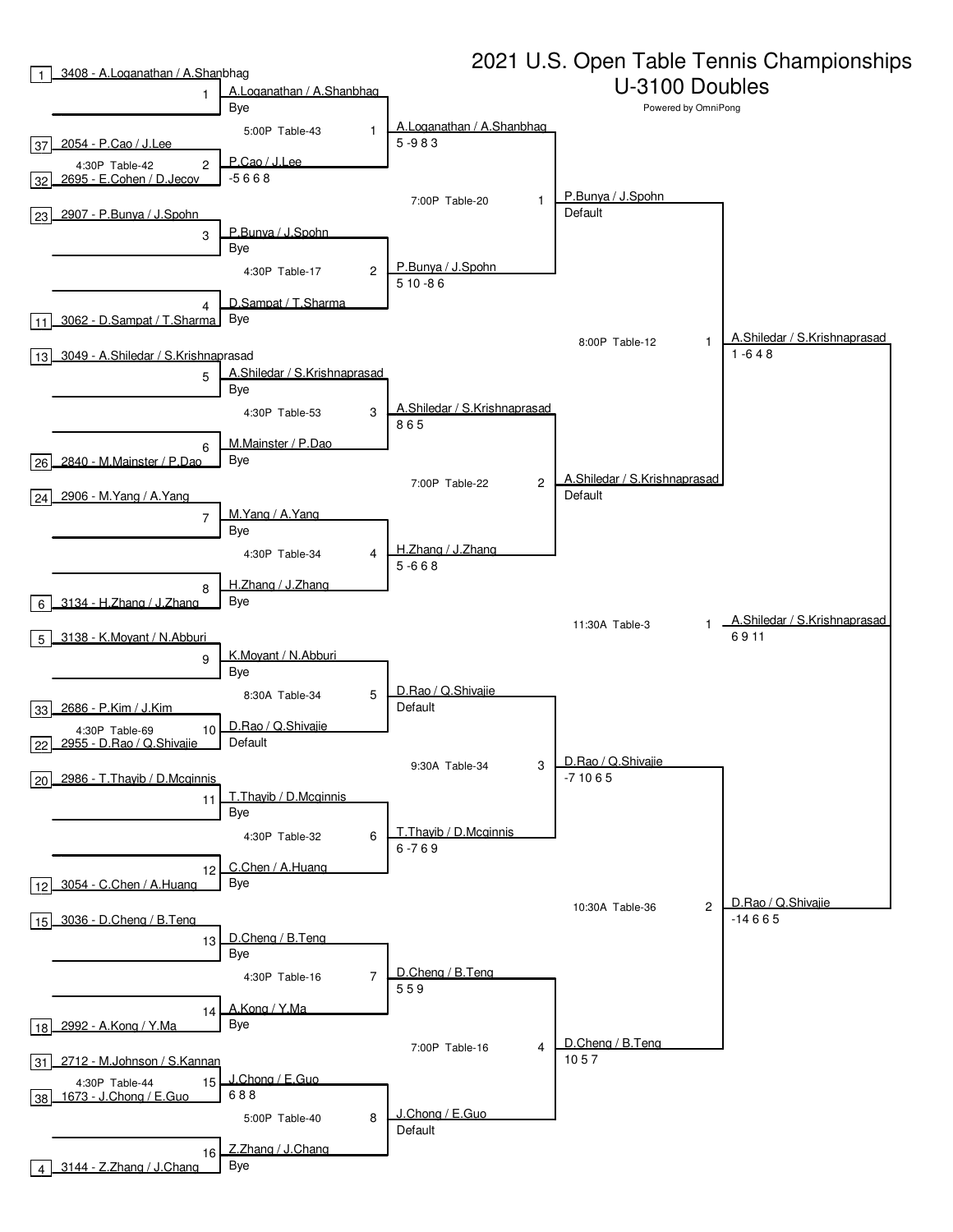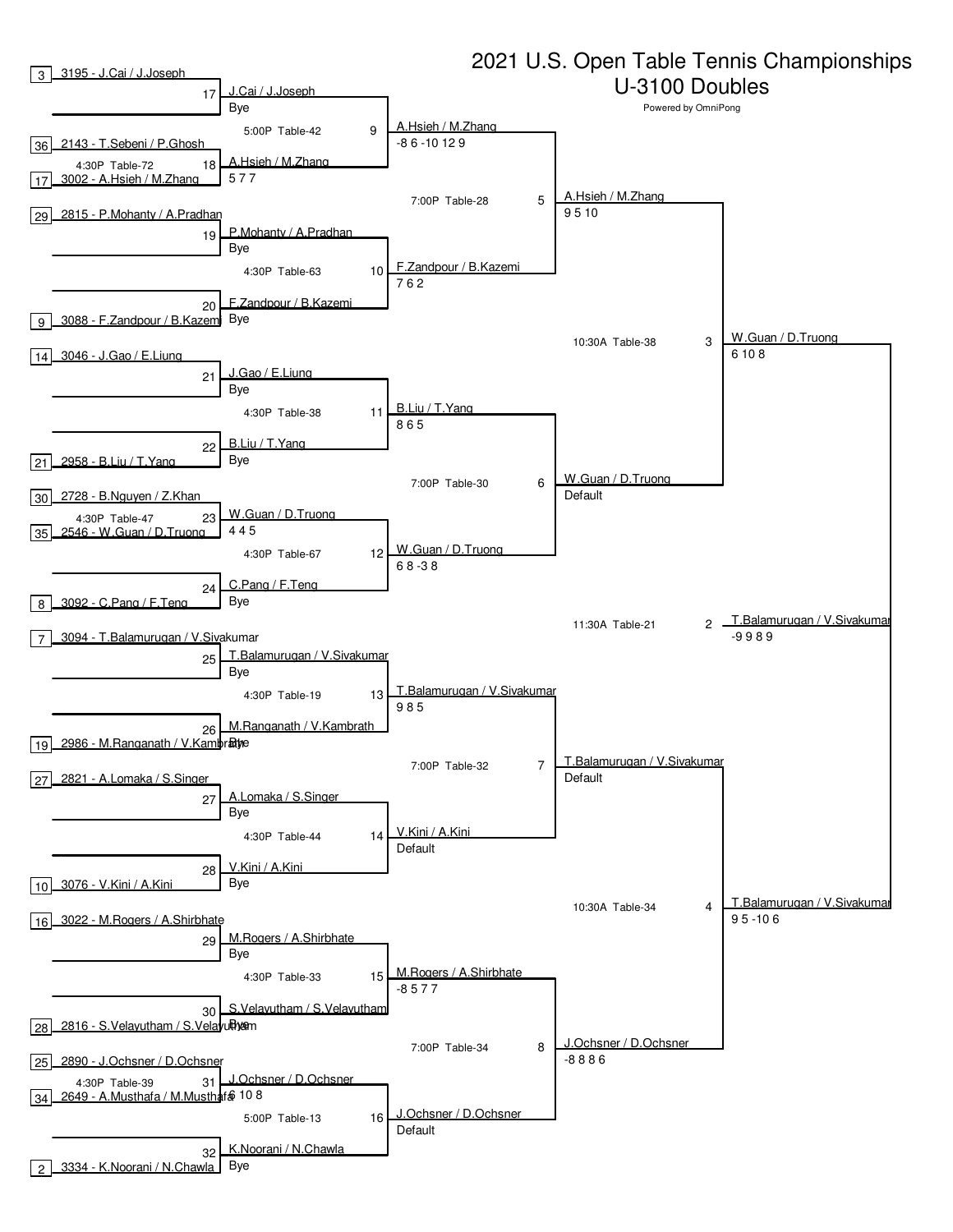